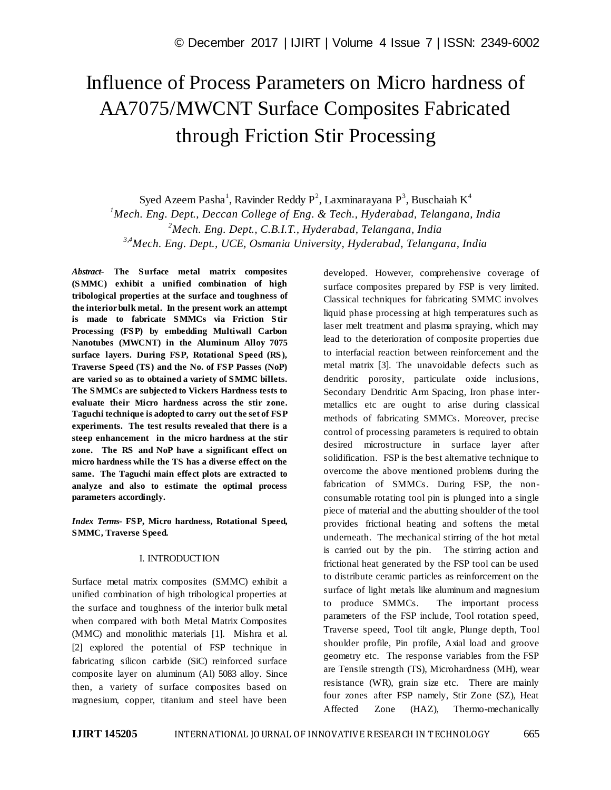# Influence of Process Parameters on Micro hardness of AA7075/MWCNT Surface Composites Fabricated through Friction Stir Processing

Syed Azeem Pasha<sup>1</sup>, Ravinder Reddy P<sup>2</sup>, Laxminarayana P<sup>3</sup>, Buschaiah K<sup>4</sup>

*<sup>1</sup>Mech. Eng. Dept., Deccan College of Eng. & Tech., Hyderabad, Telangana, India <sup>2</sup>Mech. Eng. Dept., C.B.I.T., Hyderabad, Telangana, India* 

*3,4Mech. Eng. Dept., UCE, Osmania University, Hyderabad, Telangana, India* 

*Abstract*- **The Surface metal matrix composites (SMMC) exhibit a unified combination of high tribological properties at the surface and toughness of the interior bulk metal. In the present work an attempt is made to fabricate SMMCs via Friction Stir Processing (FSP) by embedding Multiwall Carbon Nanotubes (MWCNT) in the Aluminum Alloy 7075 surface layers. During FSP, Rotational Speed (RS), Traverse Speed (TS) and the No. of FSP Passes (NoP) are varied so as to obtained a variety of SMMC billets. The SMMCs are subjected to Vickers Hardness tests to evaluate their Micro hardness across the stir zone. Taguchi technique is adopted to carry out the set of FSP experiments. The test results revealed that there is a steep enhancement in the micro hardness at the stir zone. The RS and NoP have a significant effect on micro hardness while the TS has a diverse effect on the same. The Taguchi main effect plots are extracted to analyze and also to estimate the optimal process parameters accordingly.** 

*Index Terms***- FSP, Micro hardness, Rotational Speed, SMMC, Traverse Speed.**

# I. INTRODUCTION

Surface metal matrix composites (SMMC) exhibit a unified combination of high tribological properties at the surface and toughness of the interior bulk metal when compared with both Metal Matrix Composites (MMC) and monolithic materials [1]. Mishra et al. [2] explored the potential of FSP technique in fabricating silicon carbide (SiC) reinforced surface composite layer on aluminum (Al) 5083 alloy. Since then, a variety of surface composites based on magnesium, copper, titanium and steel have been

developed. However, comprehensive coverage of surface composites prepared by FSP is very limited. Classical techniques for fabricating SMMC involves liquid phase processing at high temperatures such as laser melt treatment and plasma spraying, which may lead to the deterioration of composite properties due to interfacial reaction between reinforcement and the metal matrix [3]. The unavoidable defects such as dendritic porosity, particulate oxide inclusions, Secondary Dendritic Arm Spacing, Iron phase intermetallics etc are ought to arise during classical methods of fabricating SMMCs. Moreover, precise control of processing parameters is required to obtain desired microstructure in surface layer after solidification. FSP is the best alternative technique to overcome the above mentioned problems during the fabrication of SMMCs. During FSP, the nonconsumable rotating tool pin is plunged into a single piece of material and the abutting shoulder of the tool provides frictional heating and softens the metal underneath. The mechanical stirring of the hot metal is carried out by the pin. The stirring action and frictional heat generated by the FSP tool can be used to distribute ceramic particles as reinforcement on the surface of light metals like aluminum and magnesium to produce SMMCs. The important process parameters of the FSP include, Tool rotation speed, Traverse speed, Tool tilt angle, Plunge depth, Tool shoulder profile, Pin profile, Axial load and groove geometry etc. The response variables from the FSP are Tensile strength (TS), Microhardness (MH), wear resistance (WR), grain size etc. There are mainly four zones after FSP namely, Stir Zone (SZ), Heat Affected Zone (HAZ), Thermo-mechanically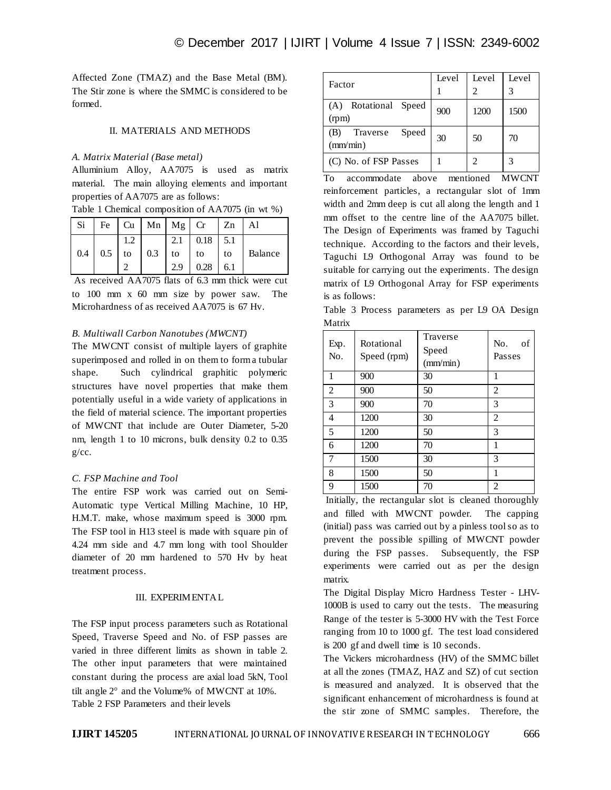Affected Zone (TMAZ) and the Base Metal (BM). The Stir zone is where the SMMC is considered to be formed.

#### II. MATERIALS AND METHODS

#### *A. Matrix Material (Base metal)*

Alluminium Alloy, AA7075 is used as matrix material. The main alloying elements and important properties of AA7075 are as follows:

Table 1 Chemical composition of AA7075 (in wt %)

| Si  |          | Fe   Cu   Mn   Mg   Cr |     |            | $ Z_n $ | Al      |
|-----|----------|------------------------|-----|------------|---------|---------|
|     |          |                        | 2.1 | $0.18$ 5.1 |         |         |
| 0.4 | $0.5$ to | $0.3$ to               |     | to         | to      | Balance |
|     |          |                        | 2.9 | 0.28       | 6.1     |         |

As received AA7075 flats of 6.3 mm thick were cut to 100 mm x 60 mm size by power saw. The Microhardness of as received AA7075 is 67 Hv.

# *B. Multiwall Carbon Nanotubes (MWCNT)*

The MWCNT consist of multiple layers of graphite superimposed and rolled in on them to form a tubular shape. Such cylindrical graphitic polymeric structures have novel properties that make them potentially useful in a wide variety of applications in the field of material science. The important properties of MWCNT that include are Outer Diameter, 5-20 nm, length 1 to 10 microns, bulk density 0.2 to 0.35  $g/cc.$ 

# *C. FSP Machine and Tool*

The entire FSP work was carried out on Semi-Automatic type Vertical Milling Machine, 10 HP, H.M.T. make, whose maximum speed is 3000 rpm. The FSP tool in H13 steel is made with square pin of 4.24 mm side and 4.7 mm long with tool Shoulder diameter of 20 mm hardened to 570 Hv by heat treatment process.

# III. EXPERIMENTAL

The FSP input process parameters such as Rotational Speed, Traverse Speed and No. of FSP passes are varied in three different limits as shown in table 2. The other input parameters that were maintained constant during the process are axial load 5kN, Tool tilt angle  $2^{\circ}$  and the Volume% of MWCNT at 10%. Table 2 FSP Parameters and their levels

| Factor                               | Level | Level | Level         |
|--------------------------------------|-------|-------|---------------|
| Rotational Speed<br>(A)<br>(rpm)     | 900   | 1200  | 1500          |
| Traverse<br>Speed<br>(B)<br>(mm/min) | 30    | 50    | 70            |
| (C) No. of FSP Passes                |       | 2     | $\mathcal{R}$ |

To accommodate above mentioned MWCNT reinforcement particles, a rectangular slot of 1mm width and 2mm deep is cut all along the length and 1 mm offset to the centre line of the AA7075 billet. The Design of Experiments was framed by Taguchi technique. According to the factors and their levels, Taguchi L9 Orthogonal Array was found to be suitable for carrying out the experiments. The design matrix of L9 Orthogonal Array for FSP experiments is as follows:

Table 3 Process parameters as per L9 OA Design Matrix

| Exp.<br>No.    | Rotational<br>Speed (rpm) | Traverse<br>Speed<br>(mm/min) | No.<br>οf<br>Passes |
|----------------|---------------------------|-------------------------------|---------------------|
| 1              | 900                       | 30                            | 1                   |
| 2              | 900                       | 50                            | 2                   |
| 3              | 900                       | 70                            | 3                   |
| 4              | 1200                      | 30                            | $\overline{c}$      |
| 5              | 1200                      | 50                            | 3                   |
| 6              | 1200                      | 70                            | 1                   |
| $\overline{7}$ | 1500                      | 30                            | 3                   |
| 8              | 1500                      | 50                            | 1                   |
| 9              | 1500                      | 70                            | $\mathfrak{D}$      |

Initially, the rectangular slot is cleaned thoroughly and filled with MWCNT powder. The capping (initial) pass was carried out by a pinless tool so as to prevent the possible spilling of MWCNT powder during the FSP passes. Subsequently, the FSP experiments were carried out as per the design matrix.

The Digital Display Micro Hardness Tester - LHV-1000B is used to carry out the tests. The measuring Range of the tester is 5-3000 HV with the Test Force ranging from 10 to 1000 gf. The test load considered is 200 gf and dwell time is 10 seconds.

The Vickers microhardness (HV) of the SMMC billet at all the zones (TMAZ, HAZ and SZ) of cut section is measured and analyzed. It is observed that the significant enhancement of microhardness is found at the stir zone of SMMC samples. Therefore, the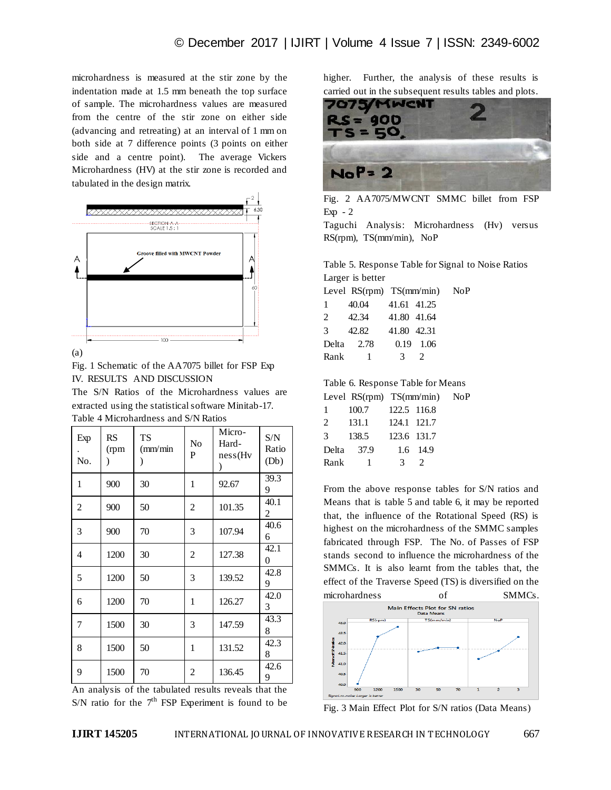microhardness is measured at the stir zone by the indentation made at 1.5 mm beneath the top surface of sample. The microhardness values are measured from the centre of the stir zone on either side (advancing and retreating) at an interval of 1 mm on both side at 7 difference points (3 points on either side and a centre point). The average Vickers Microhardness (HV) at the stir zone is recorded and tabulated in the design matrix.



(a)

Fig. 1 Schematic of the AA7075 billet for FSP Exp IV. RESULTS AND DISCUSSION

The S/N Ratios of the Microhardness values are extracted using the statistical software Minitab-17. Table 4 Microhardness and S/N Ratios

| Exp<br>No.     | <b>RS</b><br>(rpm<br>$\mathcal{E}$ | <b>TS</b><br>$\text{m}/\text{min}$ | No<br>P        | Micro-<br>Hard-<br>ness(Hv) | S/N<br>Ratio<br>(Db) |
|----------------|------------------------------------|------------------------------------|----------------|-----------------------------|----------------------|
| 1              | 900                                | 30                                 | 1              | 92.67                       | 39.3<br>9            |
| $\overline{c}$ | 900                                | 50                                 | 2              | 101.35                      | 40.1<br>2            |
| 3              | 900                                | 70                                 | 3              | 107.94                      | 40.6<br>6            |
| 4              | 1200                               | 30                                 | $\overline{c}$ | 127.38                      | 42.1<br>$\theta$     |
| 5              | 1200                               | 50                                 | 3              | 139.52                      | 42.8<br>9            |
| 6              | 1200                               | 70                                 | 1              | 126.27                      | 42.0<br>3            |
| 7              | 1500                               | 30                                 | 3              | 147.59                      | 43.3<br>8            |
| 8              | 1500                               | 50                                 | 1              | 131.52                      | 42.3<br>8            |
| 9              | 1500                               | 70                                 | 2              | 136.45                      | 42.6<br>9            |

An analysis of the tabulated results reveals that the S/N ratio for the  $7<sup>th</sup>$  FSP Experiment is found to be higher. Further, the analysis of these results is carried out in the subsequent results tables and plots.



Fig. 2 AA7075/MWCNT SMMC billet from FSP Exp  $-2$ 

Taguchi Analysis: Microhardness (Hv) versus RS(rpm), TS(mm/min), NoP

Table 5. Response Table for Signal to Noise Ratios Larger is better

 $NoP$ 

 $NoP$ 

|                |       | Level $RS(rpm)$ $TS(mm/min)$      |  |
|----------------|-------|-----------------------------------|--|
| 1              | 40.04 | 41.61 41.25                       |  |
| $\overline{2}$ | 42.34 | 41.80 41.64                       |  |
| 3              | 42.82 | 41.80 42.31                       |  |
| Delta          | 2.78  | $0.19$ 1.06                       |  |
| Rank           | -1    | -3<br>$\mathcal{D}_{\mathcal{L}}$ |  |

Table 6. Response Table for Means

|               | Level $RS(rpm)$ $TS(mm/min)$ |               |               |  |
|---------------|------------------------------|---------------|---------------|--|
| $\mathbf{1}$  | 100.7                        | 122.5 116.8   |               |  |
| 2             | 131.1                        | 124.1 121.7   |               |  |
| $\mathcal{F}$ | 138.5                        | 123.6 131.7   |               |  |
| Delta         | 37.9                         |               | 1.6 14.9      |  |
| Rank          | - 1                          | $\mathcal{R}$ | $\mathcal{D}$ |  |
|               |                              |               |               |  |

From the above response tables for S/N ratios and Means that is table 5 and table 6, it may be reported that, the influence of the Rotational Speed (RS) is highest on the microhardness of the SMMC samples fabricated through FSP. The No. of Passes of FSP stands second to influence the microhardness of the SMMCs. It is also learnt from the tables that, the effect of the Traverse Speed (TS) is diversified on the microhardness of SMMCs.



Fig. 3 Main Effect Plot for S/N ratios (Data Means)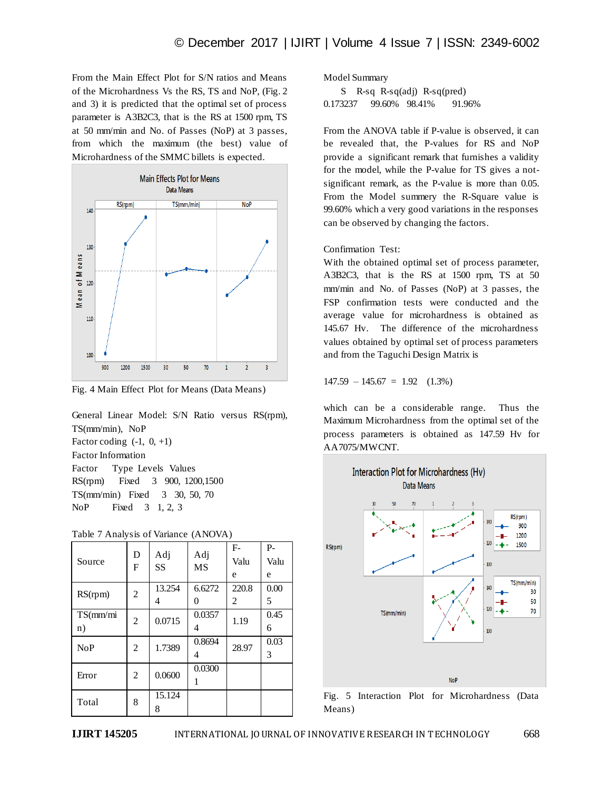From the Main Effect Plot for S/N ratios and Means of the Microhardness Vs the RS, TS and NoP, (Fig. 2 and 3) it is predicted that the optimal set of process parameter is A3B2C3, that is the RS at 1500 rpm, TS at 50 mm/min and No. of Passes (NoP) at 3 passes, from which the maximum (the best) value of Microhardness of the SMMC billets is expected.



Fig. 4 Main Effect Plot for Means (Data Means)

General Linear Model: S/N Ratio versus RS(rpm), TS(mm/min), NoP Factor coding  $(-1, 0, +1)$ Factor Information Factor Type Levels Values RS(rpm) Fixed 3 900, 1200,1500 TS(mm/min) Fixed 3 30, 50, 70 NoP Fixed 3 1, 2, 3

| Source         | D<br>F         | Adj<br><b>SS</b> | Adj<br><b>MS</b> | $F-$<br>Valu<br>e | $P -$<br>Valu<br>e |
|----------------|----------------|------------------|------------------|-------------------|--------------------|
| RS(rpm)        | $\overline{c}$ | 13.254<br>4      | 6.6272<br>0      | 220.8<br>2        | 0.00<br>5          |
| TS(mm/m)<br>n) | $\overline{c}$ | 0.0715           | 0.0357<br>4      | 1.19              | 0.45<br>6          |
| NoP            | 2              | 1.7389           | 0.8694<br>4      | 28.97             | 0.03<br>3          |
| Error          | $\overline{c}$ | 0.0600           | 0.0300<br>1      |                   |                    |
| Total          | 8              | 15.124<br>8      |                  |                   |                    |

Table 7 Analysis of Variance (ANOVA)

Model Summary

 S R-sq R-sq(adj) R-sq(pred) 0.173237 99.60% 98.41% 91.96%

From the ANOVA table if P-value is observed, it can be revealed that, the P-values for RS and NoP provide a significant remark that furnishes a validity for the model, while the P-value for TS gives a notsignificant remark, as the P-value is more than 0.05. From the Model summery the R-Square value is 99.60% which a very good variations in the responses can be observed by changing the factors.

Confirmation Test:

With the obtained optimal set of process parameter, A3B2C3, that is the RS at 1500 rpm, TS at 50 mm/min and No. of Passes (NoP) at 3 passes, the FSP confirmation tests were conducted and the average value for microhardness is obtained as 145.67 Hv. The difference of the microhardness values obtained by optimal set of process parameters and from the Taguchi Design Matrix is

 $147.59 - 145.67 = 1.92$  (1.3%)

which can be a considerable range. Thus the Maximum Microhardness from the optimal set of the process parameters is obtained as 147.59 Hv for AA7075/MWCNT.



Fig. 5 Interaction Plot for Microhardness (Data Means)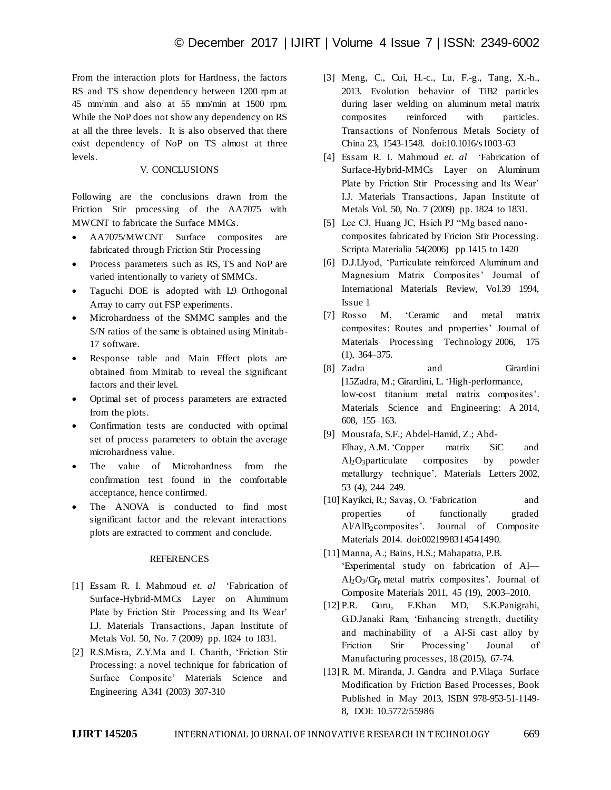From the interaction plots for Hardness, the factors RS and TS show dependency between 1200 rpm at 45 mm/min and also at 55 mm/min at 1500 rpm. While the NoP does not show any dependency on RS at all the three levels. It is also observed that there exist dependency of NoP on TS almost at three levels.

# V. CONCLUSIONS

Following are the conclusions drawn from the Friction Stir processing of the AA7075 with MWCNT to fabricate the Surface MMCs.

- AA7075/MWCNT Surface composites are fabricated through Friction Stir Processing
- Process parameters such as RS, TS and NoP are varied intentionally to variety of SMMCs.
- Taguchi DOE is adopted with L9 Orthogonal Array to carry out FSP experiments.
- Microhardness of the SMMC samples and the S/N ratios of the same is obtained using Minitab-17 software.
- Response table and Main Effect plots are obtained from Minitab to reveal the significant factors and their level.
- Optimal set of process parameters are extracted from the plots.
- Confirmation tests are conducted with optimal set of process parameters to obtain the average microhardness value.
- The value of Microhardness from the confirmation test found in the comfortable acceptance, hence confirmed.
- The ANOVA is conducted to find most significant factor and the relevant interactions plots are extracted to comment and conclude.

#### **REFERENCES**

- [1] Essam R. I. Mahmoud *et. al* 'Fabrication of Surface-Hybrid-MMCs Layer on Aluminum Plate by Friction Stir Processing and Its Wear' I.J. Materials Transactions, Japan Institute of Metals Vol. 50, No. 7 (2009) pp. 1824 to 1831.
- [2] R.S.Misra, Z.Y.Ma and I. Charith, 'Friction Stir Processing: a novel technique for fabrication of Surface Composite' Materials Science and Engineering A341 (2003) 307-310
- [3] Meng, C., Cui, H.-c., Lu, F.-g., Tang, X.-h., 2013. Evolution behavior of TiB2 particles during laser welding on aluminum metal matrix composites reinforced with particles. Transactions of Nonferrous Metals Society of China 23, 1543-1548. doi:10.1016/s1003-63
- [4] Essam R. I. Mahmoud *et. al* 'Fabrication of Surface-Hybrid-MMCs Layer on Aluminum Plate by Friction Stir Processing and Its Wear' I.J. Materials Transactions, Japan Institute of Metals Vol. 50, No. 7 (2009) pp. 1824 to 1831.
- [5] Lee CJ, Huang JC, Hsieh PJ "Mg based nanocomposites fabricated by Fricion Stir Processing. Scripta Materialia 54(2006) pp 1415 to 1420
- [6] D.J.Llyod, 'Particulate reinforced Aluminum and Magnesium Matrix Composites' Journal of International Materials Review, Vol.39 1994, Issue 1
- [7] Rosso M, 'Ceramic and metal matrix composites: Routes and properties' Journal of Materials Processing Technology 2006, 175 (1), 364–375.
- [8] Zadra and Girardini [15Zadra, M.; Girardini, L. 'High-performance, low-cost titanium metal matrix composites'. Materials Science and Engineering: A 2014, 608, 155–163.
- [9] Moustafa, S.F.; Abdel-Hamid, Z.; Abd-Elhay, A.M. 'Copper matrix SiC and Al2O3particulate composites by powder metallurgy technique'. Materials Letters 2002, 53 (4), 244–249.
- [10] Kayikci, R.; Savaş, O. 'Fabrication and properties of functionally graded Al/AlB2composites'. Journal of Composite Materials 2014. doi:0021998314541490.
- [11] Manna, A.; Bains, H.S.; Mahapatra, P.B. 'Experimental study on fabrication of Al—  $Al_2O_3/Gr_p$  metal matrix composites'. Journal of Composite Materials 2011, 45 (19), 2003–2010.
- [12] P.R. Guru, F.Khan MD, S.K.Panigrahi, G.D.Janaki Ram, 'Enhancing strength, ductility and machinability of a Al-Si cast alloy by Friction Stir Processing' Jounal of Manufacturing processes, 18 (2015), 67-74.
- [13] R. M. Miranda, J. Gandra and P.Vilaça Surface Modification by Friction Based Processes, Book Published in May 2013, ISBN 978-953-51-1149- 8, DOI: 10.5772/55986